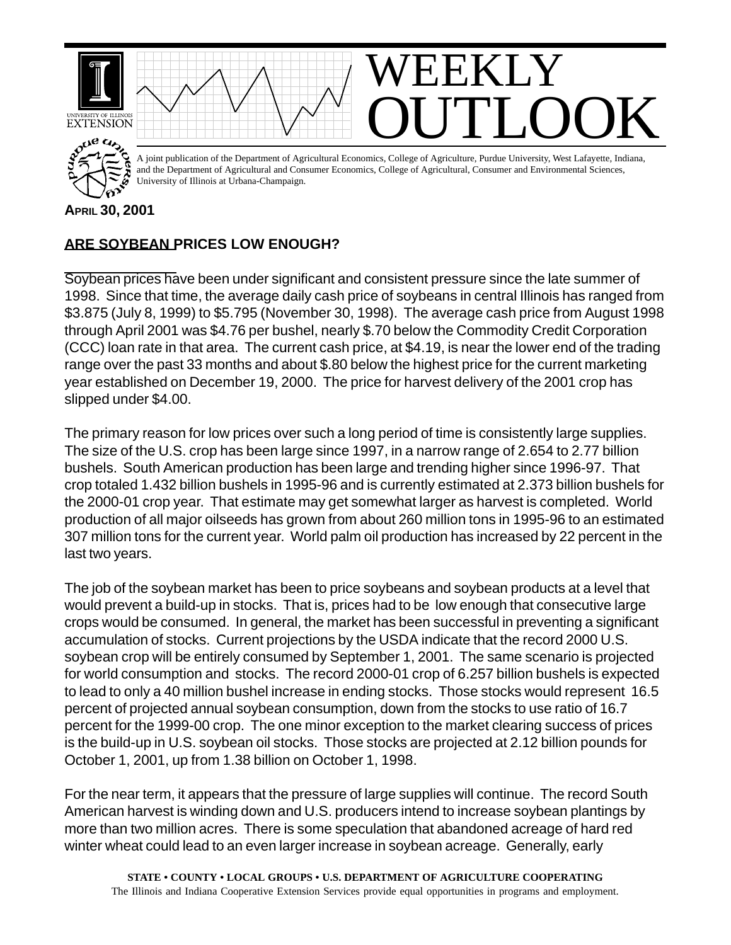

## **ARE SOYBEAN PRICES LOW ENOUGH?**

Soybean prices have been under significant and consistent pressure since the late summer of 1998. Since that time, the average daily cash price of soybeans in central Illinois has ranged from \$3.875 (July 8, 1999) to \$5.795 (November 30, 1998). The average cash price from August 1998 through April 2001 was \$4.76 per bushel, nearly \$.70 below the Commodity Credit Corporation (CCC) loan rate in that area. The current cash price, at \$4.19, is near the lower end of the trading range over the past 33 months and about \$.80 below the highest price for the current marketing year established on December 19, 2000. The price for harvest delivery of the 2001 crop has slipped under \$4.00.

The primary reason for low prices over such a long period of time is consistently large supplies. The size of the U.S. crop has been large since 1997, in a narrow range of 2.654 to 2.77 billion bushels. South American production has been large and trending higher since 1996-97. That crop totaled 1.432 billion bushels in 1995-96 and is currently estimated at 2.373 billion bushels for the 2000-01 crop year. That estimate may get somewhat larger as harvest is completed. World production of all major oilseeds has grown from about 260 million tons in 1995-96 to an estimated 307 million tons for the current year. World palm oil production has increased by 22 percent in the last two years.

The job of the soybean market has been to price soybeans and soybean products at a level that would prevent a build-up in stocks. That is, prices had to be low enough that consecutive large crops would be consumed. In general, the market has been successful in preventing a significant accumulation of stocks. Current projections by the USDA indicate that the record 2000 U.S. soybean crop will be entirely consumed by September 1, 2001. The same scenario is projected for world consumption and stocks. The record 2000-01 crop of 6.257 billion bushels is expected to lead to only a 40 million bushel increase in ending stocks. Those stocks would represent 16.5 percent of projected annual soybean consumption, down from the stocks to use ratio of 16.7 percent for the 1999-00 crop. The one minor exception to the market clearing success of prices is the build-up in U.S. soybean oil stocks. Those stocks are projected at 2.12 billion pounds for October 1, 2001, up from 1.38 billion on October 1, 1998.

For the near term, it appears that the pressure of large supplies will continue. The record South American harvest is winding down and U.S. producers intend to increase soybean plantings by more than two million acres. There is some speculation that abandoned acreage of hard red winter wheat could lead to an even larger increase in soybean acreage. Generally, early